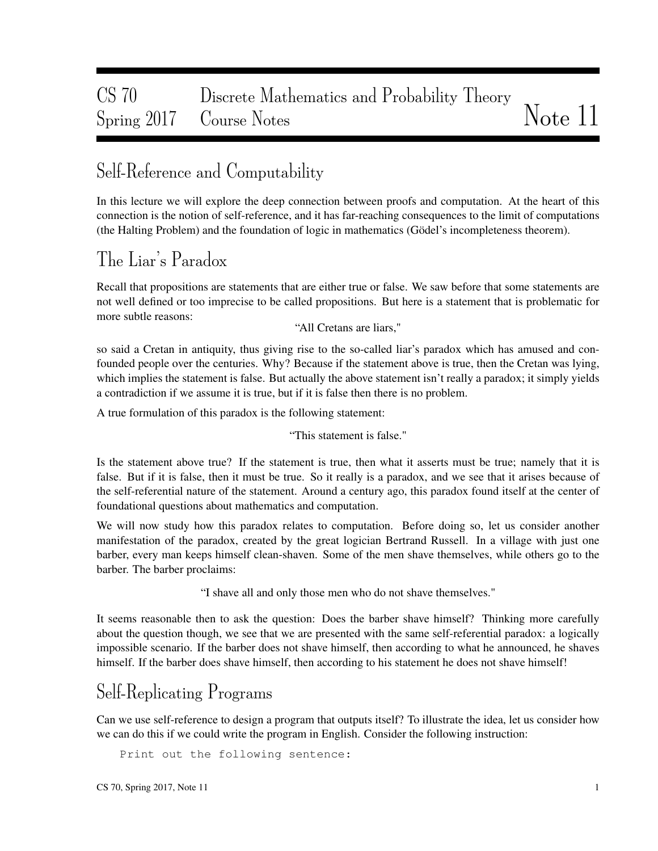# CS 70 Discrete Mathematics and Probability Theory Spring 2017 Course Notes Notes Note 11

## Self-Reference and Computability

In this lecture we will explore the deep connection between proofs and computation. At the heart of this connection is the notion of self-reference, and it has far-reaching consequences to the limit of computations (the Halting Problem) and the foundation of logic in mathematics (Gödel's incompleteness theorem).

### The Liar's Paradox

Recall that propositions are statements that are either true or false. We saw before that some statements are not well defined or too imprecise to be called propositions. But here is a statement that is problematic for more subtle reasons:

"All Cretans are liars,"

so said a Cretan in antiquity, thus giving rise to the so-called liar's paradox which has amused and confounded people over the centuries. Why? Because if the statement above is true, then the Cretan was lying, which implies the statement is false. But actually the above statement isn't really a paradox; it simply yields a contradiction if we assume it is true, but if it is false then there is no problem.

A true formulation of this paradox is the following statement:

"This statement is false."

Is the statement above true? If the statement is true, then what it asserts must be true; namely that it is false. But if it is false, then it must be true. So it really is a paradox, and we see that it arises because of the self-referential nature of the statement. Around a century ago, this paradox found itself at the center of foundational questions about mathematics and computation.

We will now study how this paradox relates to computation. Before doing so, let us consider another manifestation of the paradox, created by the great logician Bertrand Russell. In a village with just one barber, every man keeps himself clean-shaven. Some of the men shave themselves, while others go to the barber. The barber proclaims:

"I shave all and only those men who do not shave themselves."

It seems reasonable then to ask the question: Does the barber shave himself? Thinking more carefully about the question though, we see that we are presented with the same self-referential paradox: a logically impossible scenario. If the barber does not shave himself, then according to what he announced, he shaves himself. If the barber does shave himself, then according to his statement he does not shave himself!

# Self-Replicating Programs

Can we use self-reference to design a program that outputs itself? To illustrate the idea, let us consider how we can do this if we could write the program in English. Consider the following instruction:

```
Print out the following sentence:
```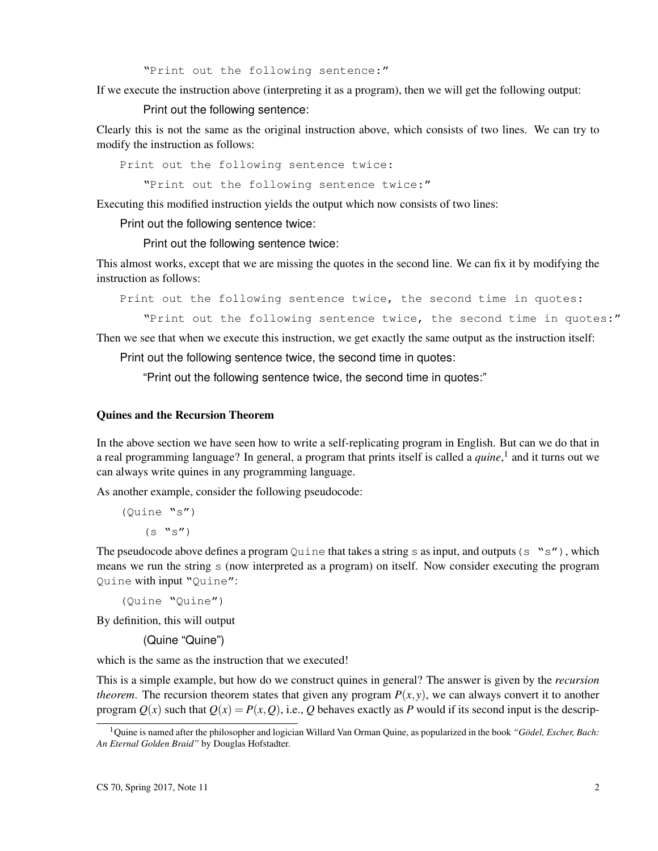"Print out the following sentence:"

If we execute the instruction above (interpreting it as a program), then we will get the following output:

Print out the following sentence:

Clearly this is not the same as the original instruction above, which consists of two lines. We can try to modify the instruction as follows:

Print out the following sentence twice:

"Print out the following sentence twice:"

Executing this modified instruction yields the output which now consists of two lines:

Print out the following sentence twice:

Print out the following sentence twice:

This almost works, except that we are missing the quotes in the second line. We can fix it by modifying the instruction as follows:

Print out the following sentence twice, the second time in quotes:

"Print out the following sentence twice, the second time in quotes:"

Then we see that when we execute this instruction, we get exactly the same output as the instruction itself:

Print out the following sentence twice, the second time in quotes:

"Print out the following sentence twice, the second time in quotes:"

#### Quines and the Recursion Theorem

In the above section we have seen how to write a self-replicating program in English. But can we do that in a real programming language? In general, a program that prints itself is called a *quine*, 1 and it turns out we can always write quines in any programming language.

As another example, consider the following pseudocode:

```
(Quine "s")
    (s \space \text{``s''})
```
The pseudocode above defines a program Quine that takes a string s as input, and outputs (s  $\degree$ s"), which means we run the string s (now interpreted as a program) on itself. Now consider executing the program Quine with input "Quine":

(Quine "Quine")

By definition, this will output

(Quine "Quine")

which is the same as the instruction that we executed!

This is a simple example, but how do we construct quines in general? The answer is given by the *recursion theorem*. The recursion theorem states that given any program  $P(x, y)$ , we can always convert it to another program  $Q(x)$  such that  $Q(x) = P(x, Q)$ , i.e., Q behaves exactly as P would if its second input is the descrip-

<sup>1</sup>Quine is named after the philosopher and logician Willard Van Orman Quine, as popularized in the book *"Gödel, Escher, Bach: An Eternal Golden Braid"* by Douglas Hofstadter.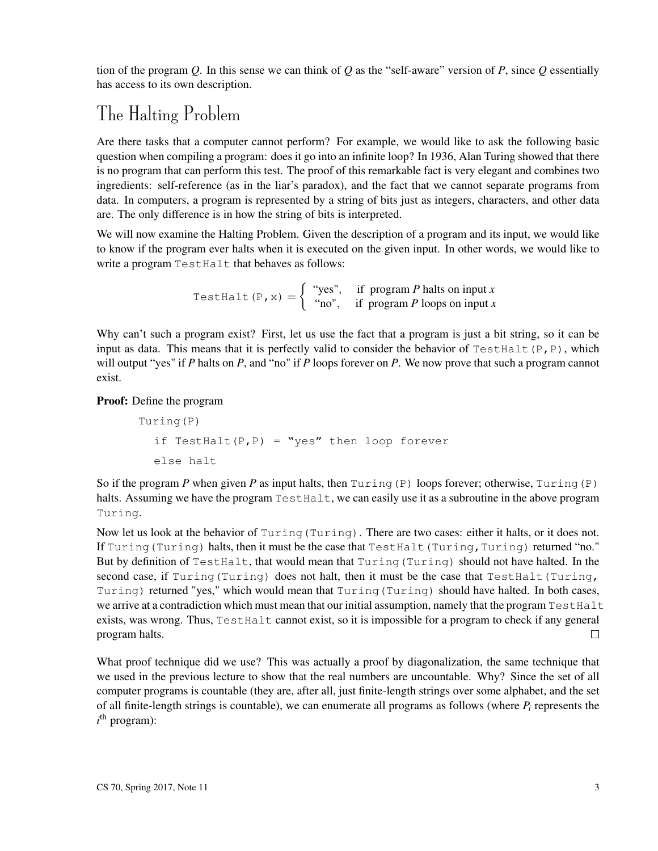tion of the program *Q*. In this sense we can think of *Q* as the "self-aware" version of *P*, since *Q* essentially has access to its own description.

# The Halting Problem

Are there tasks that a computer cannot perform? For example, we would like to ask the following basic question when compiling a program: does it go into an infinite loop? In 1936, Alan Turing showed that there is no program that can perform this test. The proof of this remarkable fact is very elegant and combines two ingredients: self-reference (as in the liar's paradox), and the fact that we cannot separate programs from data. In computers, a program is represented by a string of bits just as integers, characters, and other data are. The only difference is in how the string of bits is interpreted.

We will now examine the Halting Problem. Given the description of a program and its input, we would like to know if the program ever halts when it is executed on the given input. In other words, we would like to write a program TestHalt that behaves as follows:

TestHalf 
$$
(P, x)
$$
 = { "yes", if program *P* halts on input *x*  
"no", if program *P* loops on input *x*

Why can't such a program exist? First, let us use the fact that a program is just a bit string, so it can be input as data. This means that it is perfectly valid to consider the behavior of  $TestHalf(P, P)$ , which will output "yes" if *P* halts on *P*, and "no" if *P* loops forever on *P*. We now prove that such a program cannot exist.

### Proof: Define the program

```
Turing(P)
if TestHalt(P, P) = "yes" then loop forever
else halt
```
So if the program *P* when given *P* as input halts, then  $Turing(P)$  loops forever; otherwise,  $Turing(P)$ halts. Assuming we have the program  $TestHalf$ , we can easily use it as a subroutine in the above program Turing.

Now let us look at the behavior of Turing(Turing). There are two cases: either it halts, or it does not. If Turing(Turing) halts, then it must be the case that TestHalt(Turing,Turing) returned "no." But by definition of TestHalt, that would mean that Turing(Turing) should not have halted. In the second case, if Turing(Turing) does not halt, then it must be the case that  $TestHalf(Turing,$ Turing) returned "yes," which would mean that Turing(Turing) should have halted. In both cases, we arrive at a contradiction which must mean that our initial assumption, namely that the program TestHalt exists, was wrong. Thus, TestHalt cannot exist, so it is impossible for a program to check if any general program halts.  $\Box$ 

What proof technique did we use? This was actually a proof by diagonalization, the same technique that we used in the previous lecture to show that the real numbers are uncountable. Why? Since the set of all computer programs is countable (they are, after all, just finite-length strings over some alphabet, and the set of all finite-length strings is countable), we can enumerate all programs as follows (where *P<sup>i</sup>* represents the  $i$ <sup>th</sup> program):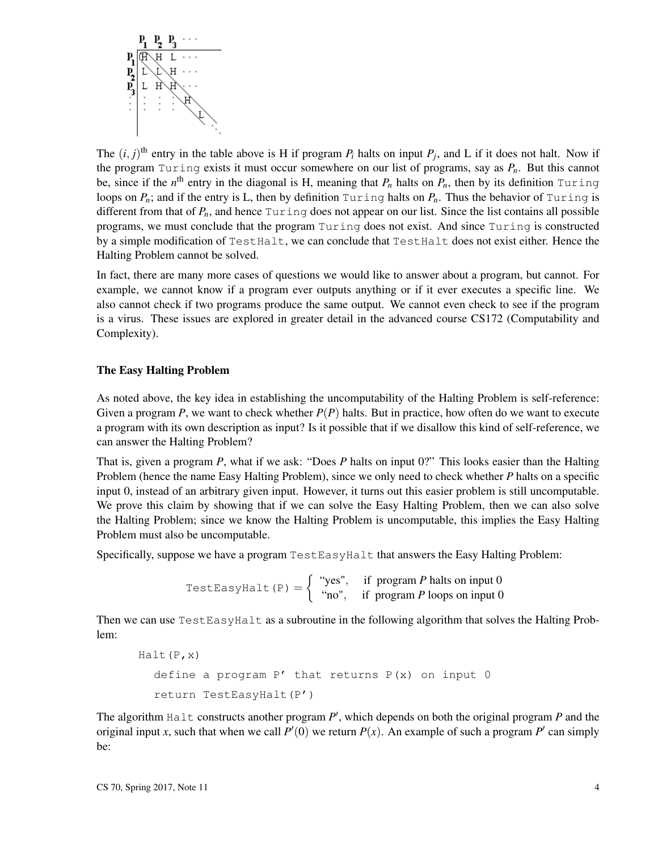

The  $(i, j)$ <sup>th</sup> entry in the table above is H if program  $P_i$  halts on input  $P_j$ , and L if it does not halt. Now if the program Turing exists it must occur somewhere on our list of programs, say as *Pn*. But this cannot be, since if the  $n^{\text{th}}$  entry in the diagonal is H, meaning that  $P_n$  halts on  $P_n$ , then by its definition Turing loops on  $P_n$ ; and if the entry is L, then by definition Turing halts on  $P_n$ . Thus the behavior of Turing is different from that of  $P_n$ , and hence Turing does not appear on our list. Since the list contains all possible programs, we must conclude that the program Turing does not exist. And since Turing is constructed by a simple modification of TestHalt, we can conclude that TestHalt does not exist either. Hence the Halting Problem cannot be solved.

In fact, there are many more cases of questions we would like to answer about a program, but cannot. For example, we cannot know if a program ever outputs anything or if it ever executes a specific line. We also cannot check if two programs produce the same output. We cannot even check to see if the program is a virus. These issues are explored in greater detail in the advanced course CS172 (Computability and Complexity).

### The Easy Halting Problem

As noted above, the key idea in establishing the uncomputability of the Halting Problem is self-reference: Given a program *P*, we want to check whether  $P(P)$  halts. But in practice, how often do we want to execute a program with its own description as input? Is it possible that if we disallow this kind of self-reference, we can answer the Halting Problem?

That is, given a program *P*, what if we ask: "Does *P* halts on input 0?" This looks easier than the Halting Problem (hence the name Easy Halting Problem), since we only need to check whether *P* halts on a specific input 0, instead of an arbitrary given input. However, it turns out this easier problem is still uncomputable. We prove this claim by showing that if we can solve the Easy Halting Problem, then we can also solve the Halting Problem; since we know the Halting Problem is uncomputable, this implies the Easy Halting Problem must also be uncomputable.

Specifically, suppose we have a program TestEasyHalt that answers the Easy Halting Problem:

TestEasyHalf (P) = 
$$
\begin{cases} \text{``yes''}, & \text{if program } P \text{ halts on input 0} \\ \text{``no''}, & \text{if program } P \text{ loops on input 0} \end{cases}
$$

Then we can use TestEasyHalt as a subroutine in the following algorithm that solves the Halting Problem:

```
Halt(P,x)
define a program P' that returns P(x) on input 0
return TestEasyHalt(P')
```
The algorithm  $H$ alt constructs another program  $P'$ , which depends on both the original program  $P$  and the original input *x*, such that when we call  $P'(0)$  we return  $P(x)$ . An example of such a program  $P'$  can simply be: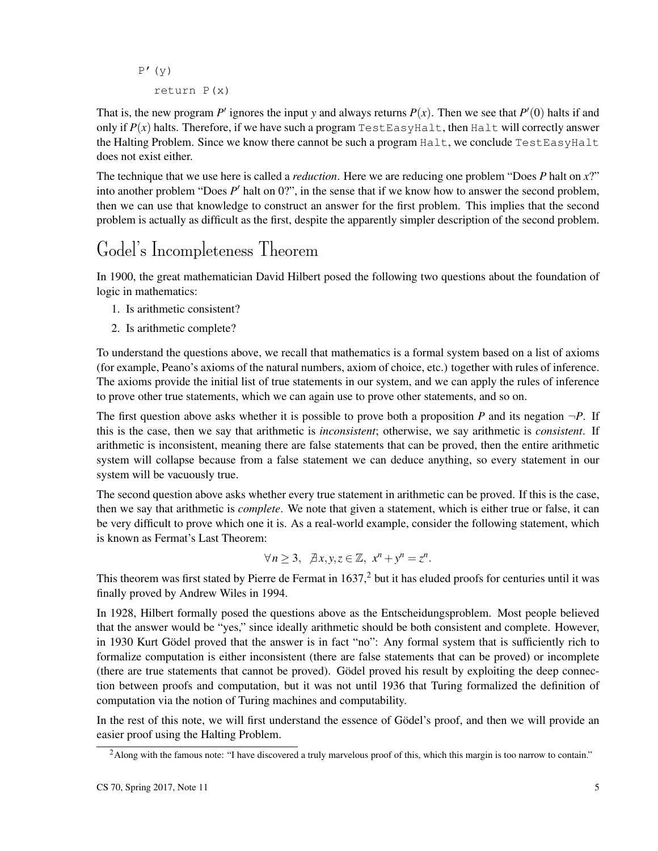```
P' (y)
return P(x)
```
That is, the new program  $P'$  ignores the input *y* and always returns  $P(x)$ . Then we see that  $P'(0)$  halts if and only if  $P(x)$  halts. Therefore, if we have such a program Test EasyHalt, then Halt will correctly answer the Halting Problem. Since we know there cannot be such a program Halt, we conclude TestEasyHalt does not exist either.

The technique that we use here is called a *reduction*. Here we are reducing one problem "Does *P* halt on *x*?" into another problem "Does  $P'$  halt on 0?", in the sense that if we know how to answer the second problem, then we can use that knowledge to construct an answer for the first problem. This implies that the second problem is actually as difficult as the first, despite the apparently simpler description of the second problem.

# Godel's Incompleteness Theorem

In 1900, the great mathematician David Hilbert posed the following two questions about the foundation of logic in mathematics:

- 1. Is arithmetic consistent?
- 2. Is arithmetic complete?

To understand the questions above, we recall that mathematics is a formal system based on a list of axioms (for example, Peano's axioms of the natural numbers, axiom of choice, etc.) together with rules of inference. The axioms provide the initial list of true statements in our system, and we can apply the rules of inference to prove other true statements, which we can again use to prove other statements, and so on.

The first question above asks whether it is possible to prove both a proposition *P* and its negation  $\neg P$ . If this is the case, then we say that arithmetic is *inconsistent*; otherwise, we say arithmetic is *consistent*. If arithmetic is inconsistent, meaning there are false statements that can be proved, then the entire arithmetic system will collapse because from a false statement we can deduce anything, so every statement in our system will be vacuously true.

The second question above asks whether every true statement in arithmetic can be proved. If this is the case, then we say that arithmetic is *complete*. We note that given a statement, which is either true or false, it can be very difficult to prove which one it is. As a real-world example, consider the following statement, which is known as Fermat's Last Theorem:

$$
\forall n \geq 3, \ \ \mathcal{A}x, y, z \in \mathbb{Z}, \ x^n + y^n = z^n.
$$

This theorem was first stated by Pierre de Fermat in  $1637<sup>2</sup>$  but it has eluded proofs for centuries until it was finally proved by Andrew Wiles in 1994.

In 1928, Hilbert formally posed the questions above as the Entscheidungsproblem. Most people believed that the answer would be "yes," since ideally arithmetic should be both consistent and complete. However, in 1930 Kurt Gödel proved that the answer is in fact "no": Any formal system that is sufficiently rich to formalize computation is either inconsistent (there are false statements that can be proved) or incomplete (there are true statements that cannot be proved). Gödel proved his result by exploiting the deep connection between proofs and computation, but it was not until 1936 that Turing formalized the definition of computation via the notion of Turing machines and computability.

In the rest of this note, we will first understand the essence of Gödel's proof, and then we will provide an easier proof using the Halting Problem.

 $<sup>2</sup>$  Along with the famous note: "I have discovered a truly marvelous proof of this, which this margin is too narrow to contain."</sup>